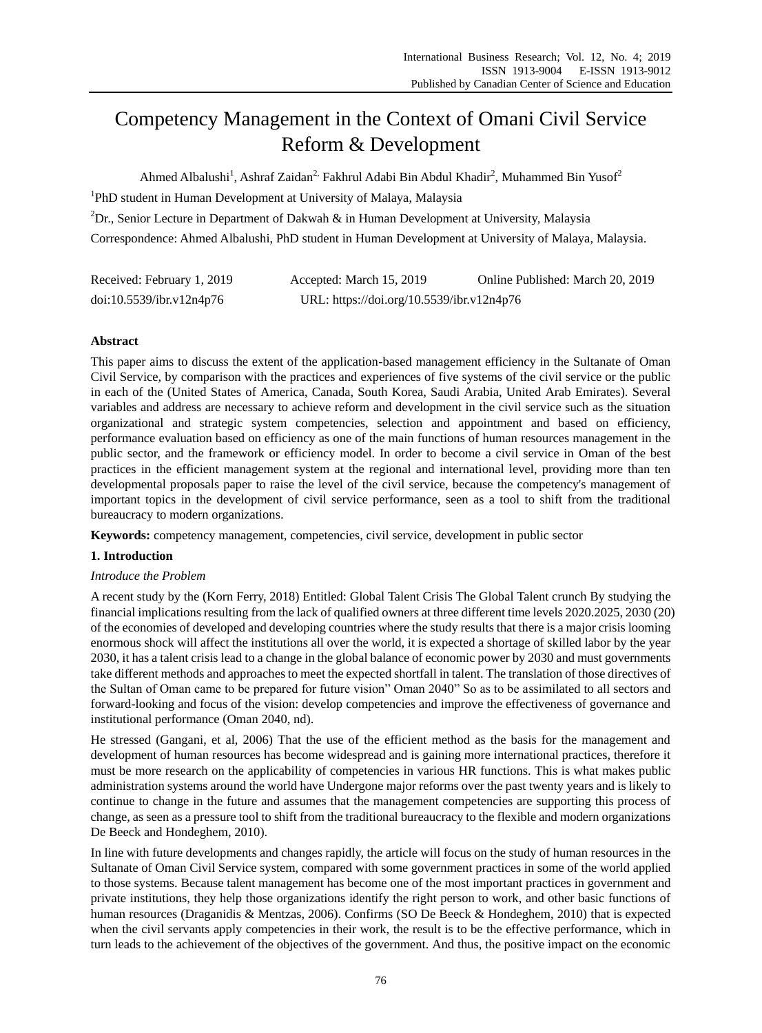# Competency Management in the Context of Omani Civil Service Reform & Development

Ahmed Albalushi<sup>1</sup>, Ashraf Zaidan<sup>2,</sup> Fakhrul Adabi Bin Abdul Khadir<sup>2</sup>, Muhammed Bin Yusof<sup>2</sup>

<sup>1</sup>PhD student in Human Development at University of Malaya, Malaysia

<sup>2</sup>Dr., Senior Lecture in Department of Dakwah & in Human Development at University, Malaysia

Correspondence: Ahmed Albalushi, PhD student in Human Development at University of Malaya, Malaysia.

| Received: February 1, 2019 | Accepted: March 15, 2019                  | Online Published: March 20, 2019 |
|----------------------------|-------------------------------------------|----------------------------------|
| doi:10.5539/ibr.v12n4p76   | URL: https://doi.org/10.5539/ibr.v12n4p76 |                                  |

# **Abstract**

This paper aims to discuss the extent of the application-based management efficiency in the Sultanate of Oman Civil Service, by comparison with the practices and experiences of five systems of the civil service or the public in each of the (United States of America, Canada, South Korea, Saudi Arabia, United Arab Emirates). Several variables and address are necessary to achieve reform and development in the civil service such as the situation organizational and strategic system competencies, selection and appointment and based on efficiency, performance evaluation based on efficiency as one of the main functions of human resources management in the public sector, and the framework or efficiency model. In order to become a civil service in Oman of the best practices in the efficient management system at the regional and international level, providing more than ten developmental proposals paper to raise the level of the civil service, because the competency's management of important topics in the development of civil service performance, seen as a tool to shift from the traditional bureaucracy to modern organizations.

**Keywords:** competency management, competencies, civil service, development in public sector

# **1. Introduction**

# *Introduce the Problem*

A recent study by the (Korn Ferry, 2018) Entitled: Global Talent Crisis The Global Talent crunch By studying the financial implications resulting from the lack of qualified owners at three different time levels 2020.2025, 2030 (20) of the economies of developed and developing countries where the study results that there is a major crisis looming enormous shock will affect the institutions all over the world, it is expected a shortage of skilled labor by the year 2030, it has a talent crisis lead to a change in the global balance of economic power by 2030 and must governments take different methods and approaches to meet the expected shortfall in talent. The translation of those directives of the Sultan of Oman came to be prepared for future vision" Oman 2040" So as to be assimilated to all sectors and forward-looking and focus of the vision: develop competencies and improve the effectiveness of governance and institutional performance (Oman 2040, nd).

He stressed (Gangani, et al, 2006) That the use of the efficient method as the basis for the management and development of human resources has become widespread and is gaining more international practices, therefore it must be more research on the applicability of competencies in various HR functions. This is what makes public administration systems around the world have Undergone major reforms over the past twenty years and is likely to continue to change in the future and assumes that the management competencies are supporting this process of change, as seen as a pressure tool to shift from the traditional bureaucracy to the flexible and modern organizations De Beeck and Hondeghem, 2010).

In line with future developments and changes rapidly, the article will focus on the study of human resources in the Sultanate of Oman Civil Service system, compared with some government practices in some of the world applied to those systems. Because talent management has become one of the most important practices in government and private institutions, they help those organizations identify the right person to work, and other basic functions of human resources (Draganidis & Mentzas, 2006). Confirms (SO De Beeck & Hondeghem, 2010) that is expected when the civil servants apply competencies in their work, the result is to be the effective performance, which in turn leads to the achievement of the objectives of the government. And thus, the positive impact on the economic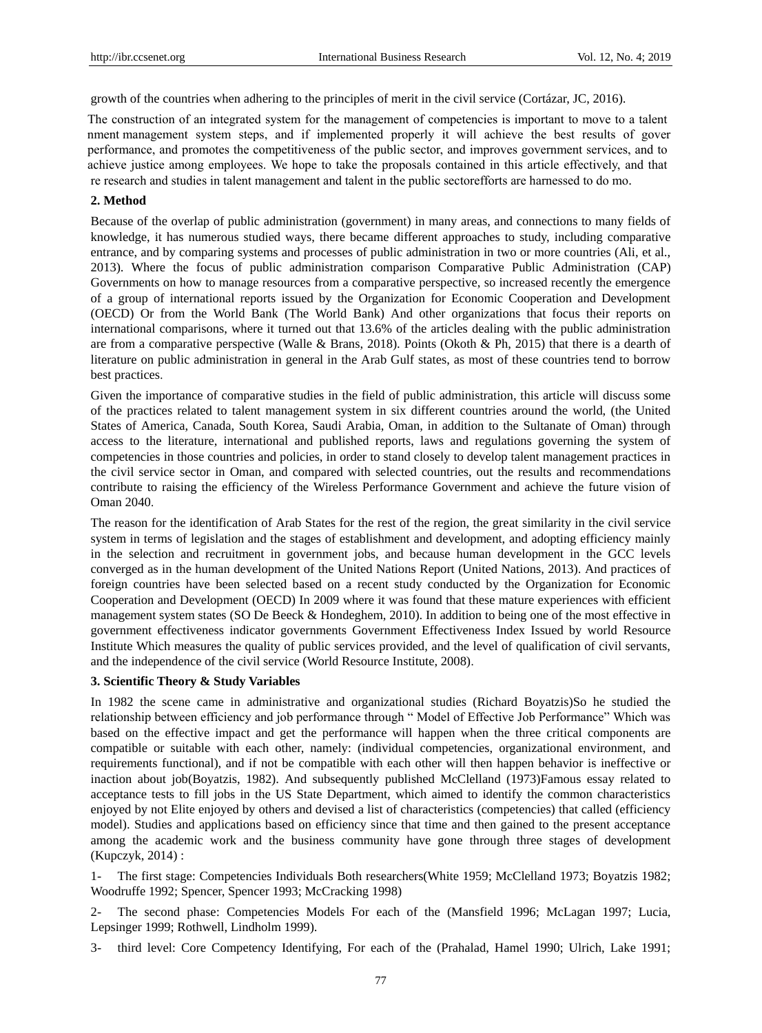growth of the countries when adhering to the principles of merit in the civil service (Cort ázar, JC, 2016).

The construction of an integrated system for the management of competencies is important to move to a talent nment management system steps, and if implemented properly it will achieve the best results of gover performance, and promotes the competitiveness of the public sector, and improves government services, and to achieve justice among employees. We hope to take the proposals contained in this article effectively, and that the research and studies in talent management and talent in the public sector efforts are harnessed to do mo.

#### **2. Method**

Because of the overlap of public administration (government) in many areas, and connections to many fields of knowledge, it has numerous studied ways, there became different approaches to study, including comparative entrance, and by comparing systems and processes of public administration in two or more countries (Ali, et al., 2013). Where the focus of public administration comparison Comparative Public Administration (CAP) Governments on how to manage resources from a comparative perspective, so increased recently the emergence of a group of international reports issued by the Organization for Economic Cooperation and Development (OECD) Or from the World Bank (The World Bank) And other organizations that focus their reports on international comparisons, where it turned out that 13.6% of the articles dealing with the public administration are from a comparative perspective (Walle & Brans, 2018). Points (Okoth & Ph, 2015) that there is a dearth of literature on public administration in general in the Arab Gulf states, as most of these countries tend to borrow best practices.

Given the importance of comparative studies in the field of public administration, this article will discuss some of the practices related to talent management system in six different countries around the world, (the United States of America, Canada, South Korea, Saudi Arabia, Oman, in addition to the Sultanate of Oman) through access to the literature, international and published reports, laws and regulations governing the system of competencies in those countries and policies, in order to stand closely to develop talent management practices in the civil service sector in Oman, and compared with selected countries, out the results and recommendations contribute to raising the efficiency of the Wireless Performance Government and achieve the future vision of Oman 2040.

The reason for the identification of Arab States for the rest of the region, the great similarity in the civil service system in terms of legislation and the stages of establishment and development, and adopting efficiency mainly in the selection and recruitment in government jobs, and because human development in the GCC levels converged as in the human development of the United Nations Report (United Nations, 2013). And practices of foreign countries have been selected based on a recent study conducted by the Organization for Economic Cooperation and Development (OECD) In 2009 where it was found that these mature experiences with efficient management system states (SO De Beeck & Hondeghem, 2010). In addition to being one of the most effective in government effectiveness indicator governments Government Effectiveness Index Issued by world Resource Institute Which measures the quality of public services provided, and the level of qualification of civil servants, and the independence of the civil service (World Resource Institute, 2008).

#### **3. Scientific Theory & Study Variables**

In 1982 the scene came in administrative and organizational studies (Richard Boyatzis)So he studied the relationship between efficiency and job performance through " Model of Effective Job Performance" Which was based on the effective impact and get the performance will happen when the three critical components are compatible or suitable with each other, namely: (individual competencies, organizational environment, and requirements functional), and if not be compatible with each other will then happen behavior is ineffective or inaction about job(Boyatzis, 1982). And subsequently published McClelland (1973)Famous essay related to acceptance tests to fill jobs in the US State Department, which aimed to identify the common characteristics enjoyed by not Elite enjoyed by others and devised a list of characteristics (competencies) that called (efficiency model). Studies and applications based on efficiency since that time and then gained to the present acceptance among the academic work and the business community have gone through three stages of development (Kupczyk, 2014) :

1- The first stage: Competencies Individuals Both researchers(White 1959; McClelland 1973; Boyatzis 1982; Woodruffe 1992; Spencer, Spencer 1993; McCracking 1998)

2- The second phase: Competencies Models For each of the (Mansfield 1996; McLagan 1997; Lucia, Lepsinger 1999; Rothwell, Lindholm 1999).

3- third level: Core Competency Identifying, For each of the (Prahalad, Hamel 1990; Ulrich, Lake 1991;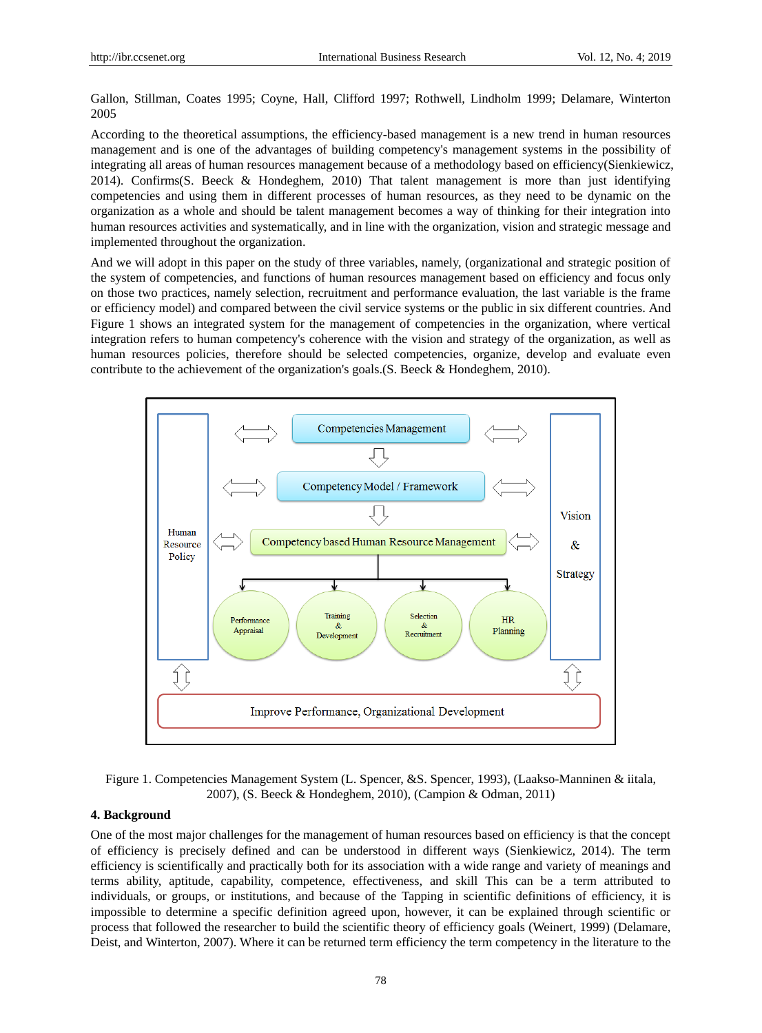Gallon, Stillman, Coates 1995; Coyne, Hall, Clifford 1997; Rothwell, Lindholm 1999; Delamare, Winterton 2005

According to the theoretical assumptions, the efficiency-based management is a new trend in human resources management and is one of the advantages of building competency's management systems in the possibility of integrating all areas of human resources management because of a methodology based on efficiency(Sienkiewicz, 2014). Confirms(S. Beeck & Hondeghem, 2010) That talent management is more than just identifying competencies and using them in different processes of human resources, as they need to be dynamic on the organization as a whole and should be talent management becomes a way of thinking for their integration into human resources activities and systematically, and in line with the organization, vision and strategic message and implemented throughout the organization.

And we will adopt in this paper on the study of three variables, namely, (organizational and strategic position of the system of competencies, and functions of human resources management based on efficiency and focus only on those two practices, namely selection, recruitment and performance evaluation, the last variable is the frame or efficiency model) and compared between the civil service systems or the public in six different countries. And Figure 1 shows an integrated system for the management of competencies in the organization, where vertical integration refers to human competency's coherence with the vision and strategy of the organization, as well as human resources policies, therefore should be selected competencies, organize, develop and evaluate even contribute to the achievement of the organization's goals.(S. Beeck & Hondeghem, 2010).



Figure 1. Competencies Management System (L. Spencer, &S. Spencer, 1993), (Laakso-Manninen & iitala, 2007), (S. Beeck & Hondeghem, 2010), (Campion & Odman, 2011)

## **4. Background**

One of the most major challenges for the management of human resources based on efficiency is that the concept of efficiency is precisely defined and can be understood in different ways (Sienkiewicz, 2014). The term efficiency is scientifically and practically both for its association with a wide range and variety of meanings and terms ability, aptitude, capability, competence, effectiveness, and skill This can be a term attributed to individuals, or groups, or institutions, and because of the Tapping in scientific definitions of efficiency, it is impossible to determine a specific definition agreed upon, however, it can be explained through scientific or process that followed the researcher to build the scientific theory of efficiency goals (Weinert, 1999) (Delamare, Deist, and Winterton, 2007). Where it can be returned term efficiency the term competency in the literature to the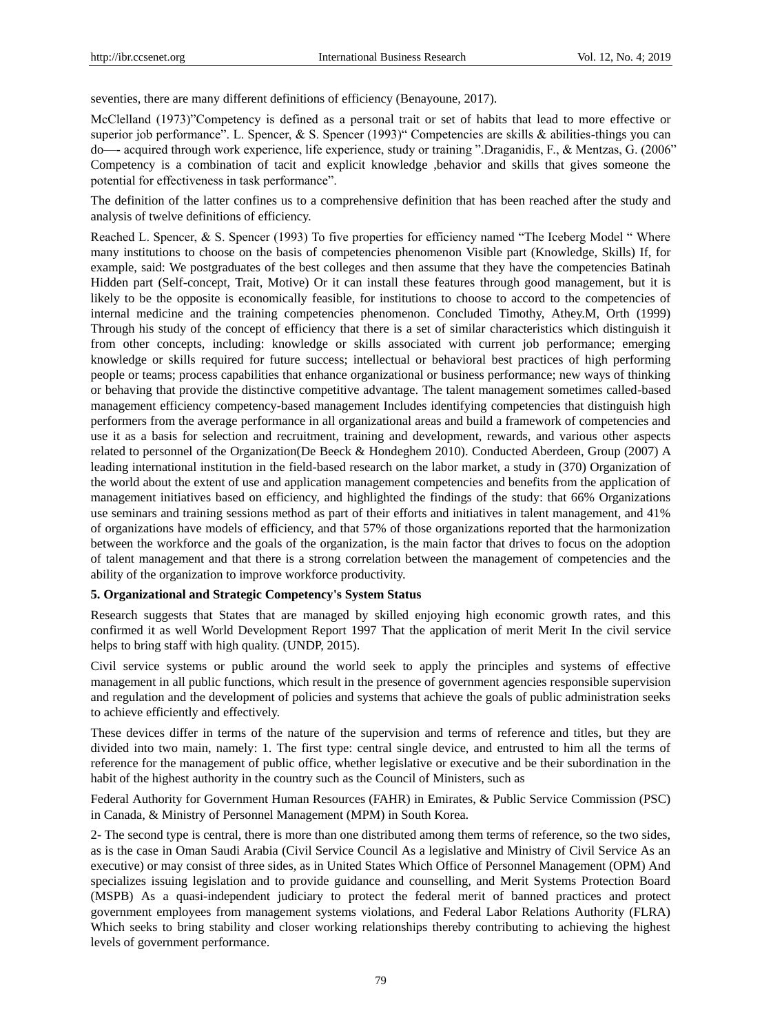seventies, there are many different definitions of efficiency (Benayoune, 2017).

McClelland (1973)"Competency is defined as a personal trait or set of habits that lead to more effective or superior job performance". L. Spencer, & S. Spencer (1993)" Competencies are skills  $\&$  abilities-things you can do—- acquired through work experience, life experience, study or training ".Draganidis, F., & Mentzas, G. (2006" Competency is a combination of tacit and explicit knowledge ,behavior and skills that gives someone the potential for effectiveness in task performance".

The definition of the latter confines us to a comprehensive definition that has been reached after the study and analysis of twelve definitions of efficiency.

Reached L. Spencer,  $\&$  S. Spencer (1993) To five properties for efficiency named "The Iceberg Model " Where many institutions to choose on the basis of competencies phenomenon Visible part (Knowledge, Skills) If, for example, said: We postgraduates of the best colleges and then assume that they have the competencies Batinah Hidden part (Self-concept, Trait, Motive) Or it can install these features through good management, but it is likely to be the opposite is economically feasible, for institutions to choose to accord to the competencies of internal medicine and the training competencies phenomenon. Concluded Timothy, Athey.M, Orth (1999) Through his study of the concept of efficiency that there is a set of similar characteristics which distinguish it from other concepts, including: knowledge or skills associated with current job performance; emerging knowledge or skills required for future success; intellectual or behavioral best practices of high performing people or teams; process capabilities that enhance organizational or business performance; new ways of thinking or behaving that provide the distinctive competitive advantage. The talent management sometimes called-based management efficiency competency-based management Includes identifying competencies that distinguish high performers from the average performance in all organizational areas and build a framework of competencies and use it as a basis for selection and recruitment, training and development, rewards, and various other aspects related to personnel of the Organization(De Beeck & Hondeghem 2010). Conducted Aberdeen, Group (2007) A leading international institution in the field-based research on the labor market, a study in (370) Organization of the world about the extent of use and application management competencies and benefits from the application of management initiatives based on efficiency, and highlighted the findings of the study: that 66% Organizations use seminars and training sessions method as part of their efforts and initiatives in talent management, and 41% of organizations have models of efficiency, and that 57% of those organizations reported that the harmonization between the workforce and the goals of the organization, is the main factor that drives to focus on the adoption of talent management and that there is a strong correlation between the management of competencies and the ability of the organization to improve workforce productivity.

#### **5. Organizational and Strategic Competency's System Status**

Research suggests that States that are managed by skilled enjoying high economic growth rates, and this confirmed it as well World Development Report 1997 That the application of merit Merit In the civil service helps to bring staff with high quality. (UNDP, 2015).

Civil service systems or public around the world seek to apply the principles and systems of effective management in all public functions, which result in the presence of government agencies responsible supervision and regulation and the development of policies and systems that achieve the goals of public administration seeks to achieve efficiently and effectively.

These devices differ in terms of the nature of the supervision and terms of reference and titles, but they are divided into two main, namely: 1. The first type: central single device, and entrusted to him all the terms of reference for the management of public office, whether legislative or executive and be their subordination in the habit of the highest authority in the country such as the Council of Ministers, such as

Federal Authority for Government Human Resources (FAHR) in Emirates, & Public Service Commission (PSC) in Canada, & Ministry of Personnel Management (MPM) in South Korea.

2- The second type is central, there is more than one distributed among them terms of reference, so the two sides, as is the case in Oman Saudi Arabia (Civil Service Council As a legislative and Ministry of Civil Service As an executive) or may consist of three sides, as in United States Which Office of Personnel Management (OPM) And specializes issuing legislation and to provide guidance and counselling, and Merit Systems Protection Board (MSPB) As a quasi-independent judiciary to protect the federal merit of banned practices and protect government employees from management systems violations, and Federal Labor Relations Authority (FLRA) Which seeks to bring stability and closer working relationships thereby contributing to achieving the highest levels of government performance.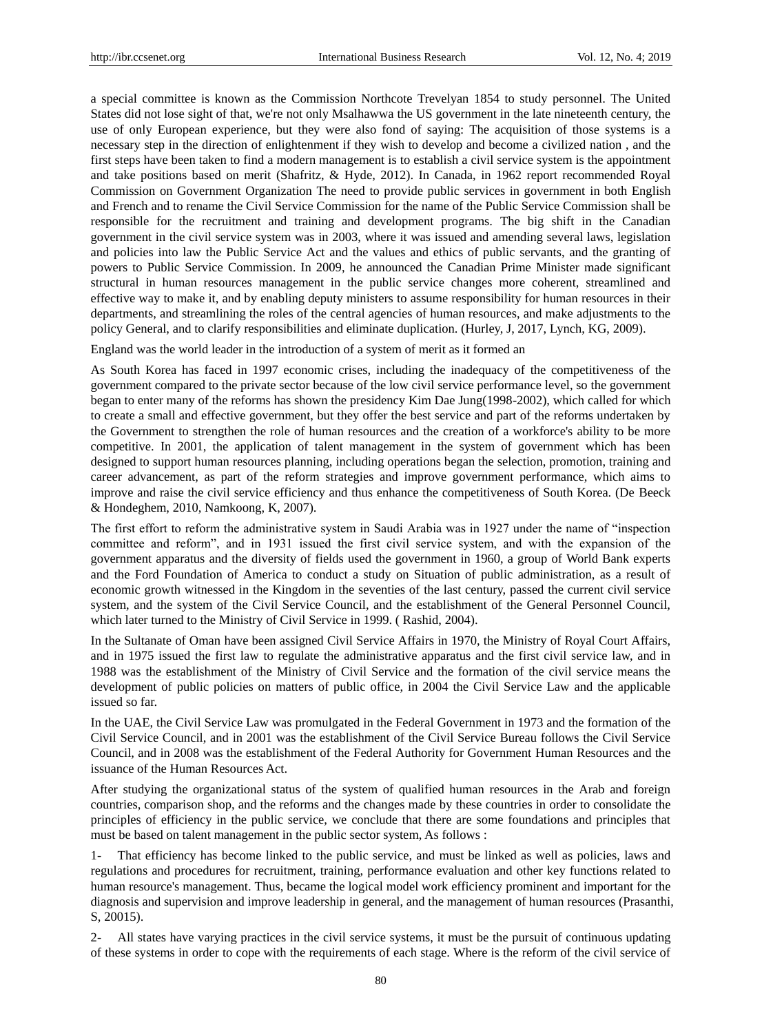a special committee is known as the Commission Northcote Trevelyan 1854 to study personnel. The United States did not lose sight of that, we're not only Msalhawwa the US government in the late nineteenth century, the use of only European experience, but they were also fond of saying: The acquisition of those systems is a necessary step in the direction of enlightenment if they wish to develop and become a civilized nation , and the first steps have been taken to find a modern management is to establish a civil service system is the appointment and take positions based on merit (Shafritz, & Hyde, 2012). In Canada, in 1962 report recommended Royal Commission on Government Organization The need to provide public services in government in both English and French and to rename the Civil Service Commission for the name of the Public Service Commission shall be responsible for the recruitment and training and development programs. The big shift in the Canadian government in the civil service system was in 2003, where it was issued and amending several laws, legislation and policies into law the Public Service Act and the values and ethics of public servants, and the granting of powers to Public Service Commission. In 2009, he announced the Canadian Prime Minister made significant structural in human resources management in the public service changes more coherent, streamlined and effective way to make it, and by enabling deputy ministers to assume responsibility for human resources in their departments, and streamlining the roles of the central agencies of human resources, and make adjustments to the policy General, and to clarify responsibilities and eliminate duplication. (Hurley, J, 2017, Lynch, KG, 2009).

England was the world leader in the introduction of a system of merit as it formed an

As South Korea has faced in 1997 economic crises, including the inadequacy of the competitiveness of the government compared to the private sector because of the low civil service performance level, so the government began to enter many of the reforms has shown the presidency Kim Dae Jung(1998-2002), which called for which to create a small and effective government, but they offer the best service and part of the reforms undertaken by the Government to strengthen the role of human resources and the creation of a workforce's ability to be more competitive. In 2001, the application of talent management in the system of government which has been designed to support human resources planning, including operations began the selection, promotion, training and career advancement, as part of the reform strategies and improve government performance, which aims to improve and raise the civil service efficiency and thus enhance the competitiveness of South Korea. (De Beeck & Hondeghem, 2010, Namkoong, K, 2007).

The first effort to reform the administrative system in Saudi Arabia was in 1927 under the name of "inspection" committee and reform", and in 1931 issued the first civil service system, and with the expansion of the government apparatus and the diversity of fields used the government in 1960, a group of World Bank experts and the Ford Foundation of America to conduct a study on Situation of public administration, as a result of economic growth witnessed in the Kingdom in the seventies of the last century, passed the current civil service system, and the system of the Civil Service Council, and the establishment of the General Personnel Council, which later turned to the Ministry of Civil Service in 1999. ( Rashid, 2004).

In the Sultanate of Oman have been assigned Civil Service Affairs in 1970, the Ministry of Royal Court Affairs, and in 1975 issued the first law to regulate the administrative apparatus and the first civil service law, and in 1988 was the establishment of the Ministry of Civil Service and the formation of the civil service means the development of public policies on matters of public office, in 2004 the Civil Service Law and the applicable issued so far.

In the UAE, the Civil Service Law was promulgated in the Federal Government in 1973 and the formation of the Civil Service Council, and in 2001 was the establishment of the Civil Service Bureau follows the Civil Service Council, and in 2008 was the establishment of the Federal Authority for Government Human Resources and the issuance of the Human Resources Act.

After studying the organizational status of the system of qualified human resources in the Arab and foreign countries, comparison shop, and the reforms and the changes made by these countries in order to consolidate the principles of efficiency in the public service, we conclude that there are some foundations and principles that must be based on talent management in the public sector system, As follows :

1- That efficiency has become linked to the public service, and must be linked as well as policies, laws and regulations and procedures for recruitment, training, performance evaluation and other key functions related to human resource's management. Thus, became the logical model work efficiency prominent and important for the diagnosis and supervision and improve leadership in general, and the management of human resources (Prasanthi, S, 20015).

2- All states have varying practices in the civil service systems, it must be the pursuit of continuous updating of these systems in order to cope with the requirements of each stage. Where is the reform of the civil service of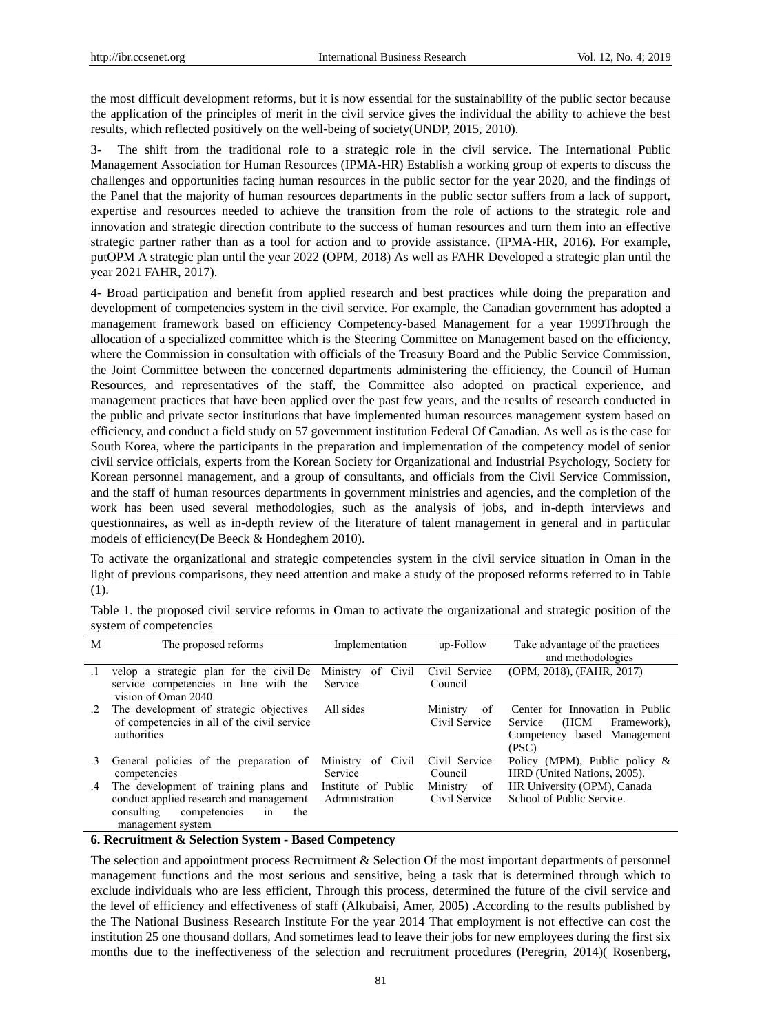the most difficult development reforms, but it is now essential for the sustainability of the public sector because the application of the principles of merit in the civil service gives the individual the ability to achieve the best results, which reflected positively on the well-being of society(UNDP, 2015, 2010).

3- The shift from the traditional role to a strategic role in the civil service. The International Public Management Association for Human Resources (IPMA-HR) Establish a working group of experts to discuss the challenges and opportunities facing human resources in the public sector for the year 2020, and the findings of the Panel that the majority of human resources departments in the public sector suffers from a lack of support, expertise and resources needed to achieve the transition from the role of actions to the strategic role and innovation and strategic direction contribute to the success of human resources and turn them into an effective strategic partner rather than as a tool for action and to provide assistance. (IPMA-HR, 2016). For example, putOPM A strategic plan until the year 2022 (OPM, 2018) As well as FAHR Developed a strategic plan until the year 2021 FAHR, 2017).

4- Broad participation and benefit from applied research and best practices while doing the preparation and development of competencies system in the civil service. For example, the Canadian government has adopted a management framework based on efficiency Competency-based Management for a year 1999Through the allocation of a specialized committee which is the Steering Committee on Management based on the efficiency, where the Commission in consultation with officials of the Treasury Board and the Public Service Commission, the Joint Committee between the concerned departments administering the efficiency, the Council of Human Resources, and representatives of the staff, the Committee also adopted on practical experience, and management practices that have been applied over the past few years, and the results of research conducted in the public and private sector institutions that have implemented human resources management system based on efficiency, and conduct a field study on 57 government institution Federal Of Canadian. As well as is the case for South Korea, where the participants in the preparation and implementation of the competency model of senior civil service officials, experts from the Korean Society for Organizational and Industrial Psychology, Society for Korean personnel management, and a group of consultants, and officials from the Civil Service Commission, and the staff of human resources departments in government ministries and agencies, and the completion of the work has been used several methodologies, such as the analysis of jobs, and in-depth interviews and questionnaires, as well as in-depth review of the literature of talent management in general and in particular models of efficiency(De Beeck & Hondeghem 2010).

To activate the organizational and strategic competencies system in the civil service situation in Oman in the light of previous comparisons, they need attention and make a study of the proposed reforms referred to in Table (1).

Table 1. the proposed civil service reforms in Oman to activate the organizational and strategic position of the system of competencies

| M         | The proposed reforms                                                                                                                             | Implementation                        | up-Follow                       | Take advantage of the practices<br>and methodologies                                                      |
|-----------|--------------------------------------------------------------------------------------------------------------------------------------------------|---------------------------------------|---------------------------------|-----------------------------------------------------------------------------------------------------------|
| $\cdot$   | velop a strategic plan for the civil De<br>service competencies in line with the<br>vision of Oman 2040                                          | Ministry<br>of Civil<br>Service       | Civil Service<br>Council        | (OPM, 2018), (FAHR, 2017)                                                                                 |
| $\cdot$ 2 | The development of strategic objectives<br>of competencies in all of the civil service<br>authorities                                            | All sides                             | Ministry<br>0f<br>Civil Service | Center for Innovation in Public<br>(HCM<br>Service<br>Framework).<br>Competency based Management<br>(PSC) |
| .3        | General policies of the preparation of<br>competencies                                                                                           | of Civil<br>Ministry<br>Service       | Civil Service<br>Council        | Policy (MPM), Public policy $\&$<br>HRD (United Nations, 2005).                                           |
| .4        | The development of training plans and<br>conduct applied research and management<br>consulting<br>competencies<br>the<br>in<br>management system | Institute of Public<br>Administration | Ministry<br>of<br>Civil Service | HR University (OPM), Canada<br>School of Public Service.                                                  |

### **6. Recruitment & Selection System - Based Competency**

The selection and appointment process Recruitment & Selection Of the most important departments of personnel management functions and the most serious and sensitive, being a task that is determined through which to exclude individuals who are less efficient, Through this process, determined the future of the civil service and the level of efficiency and effectiveness of staff (Alkubaisi, Amer, 2005) .According to the results published by the The National Business Research Institute For the year 2014 That employment is not effective can cost the institution 25 one thousand dollars, And sometimes lead to leave their jobs for new employees during the first six months due to the ineffectiveness of the selection and recruitment procedures (Peregrin, 2014)( Rosenberg,

81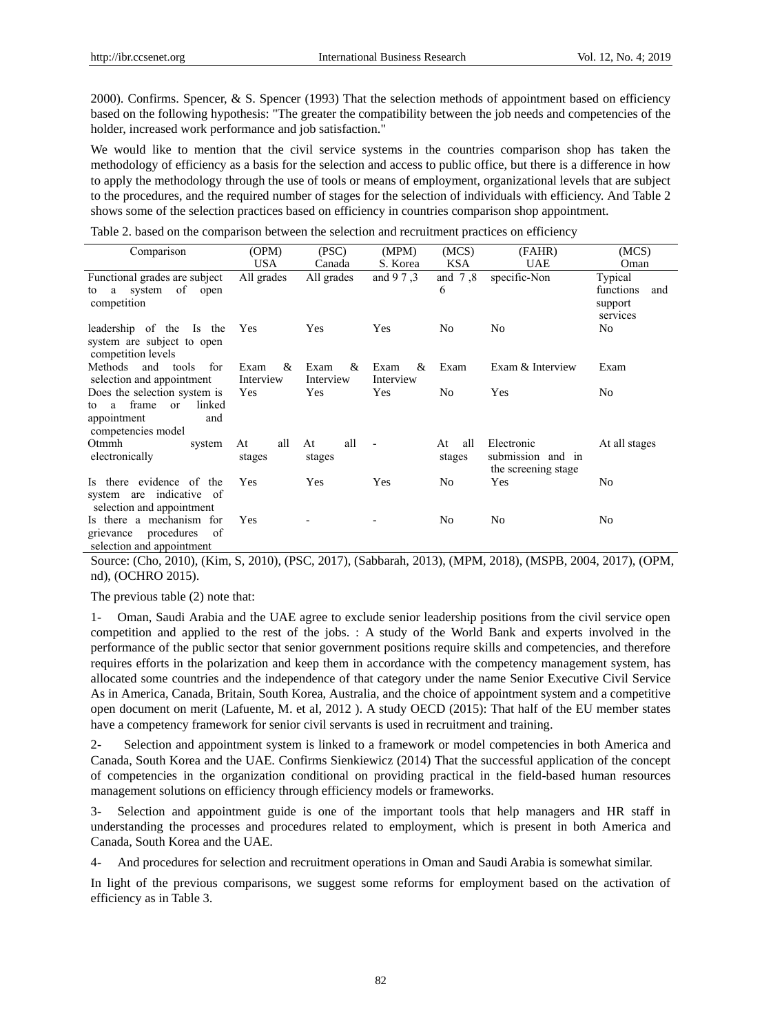2000). Confirms. Spencer, & S. Spencer (1993) That the selection methods of appointment based on efficiency based on the following hypothesis: "The greater the compatibility between the job needs and competencies of the holder, increased work performance and job satisfaction."

We would like to mention that the civil service systems in the countries comparison shop has taken the methodology of efficiency as a basis for the selection and access to public office, but there is a difference in how to apply the methodology through the use of tools or means of employment, organizational levels that are subject to the procedures, and the required number of stages for the selection of individuals with efficiency. And Table 2 shows some of the selection practices based on efficiency in countries comparison shop appointment.

Table 2. based on the comparison between the selection and recruitment practices on efficiency

| Comparison                                                                                                          | (OPM)                  | (PSC)                  | (MPM)                  | (MCS)               | (FAHR)                                                 | (MCS)                                   |
|---------------------------------------------------------------------------------------------------------------------|------------------------|------------------------|------------------------|---------------------|--------------------------------------------------------|-----------------------------------------|
|                                                                                                                     | <b>USA</b>             | Canada                 | S. Korea               | KSA                 | UAE                                                    | Oman                                    |
| Functional grades are subject                                                                                       | All grades             | All grades             | and 9 7 .3             | and $7,8$           | specific-Non                                           | Typical                                 |
| system of open<br>a<br>to<br>competition                                                                            |                        |                        |                        | 6                   |                                                        | functions<br>and<br>support<br>services |
| leadership of the Is the<br>system are subject to open<br>competition levels                                        | <b>Yes</b>             | Yes                    | Yes                    | No                  | No                                                     | No                                      |
| Methods and tools<br>for<br>selection and appointment                                                               | &<br>Exam<br>Interview | Exam<br>&<br>Interview | &<br>Exam<br>Interview | Exam                | Exam & Interview                                       | Exam                                    |
| Does the selection system is<br>linked<br>frame<br><b>or</b><br>a<br>tο<br>appointment<br>and<br>competencies model | Yes                    | Yes                    | Yes                    | No                  | Yes                                                    | No                                      |
| Otmmh<br>system<br>electronically                                                                                   | all<br>At<br>stages    | all<br>At<br>stages    | $\blacksquare$         | all<br>At<br>stages | Electronic<br>submission and in<br>the screening stage | At all stages                           |
| Is there evidence of the<br>system are indicative of<br>selection and appointment                                   | Yes                    | Yes                    | Yes                    | No                  | Yes                                                    | No                                      |
| Is there a mechanism for<br>procedures of<br>grievance<br>selection and appointment                                 | Yes                    |                        |                        | N <sub>0</sub>      | No                                                     | No                                      |

Source: (Cho, 2010), (Kim, S, 2010), (PSC, 2017), (Sabbarah, 2013), (MPM, 2018), (MSPB, 2004, 2017), (OPM, nd), (OCHRO 2015).

The previous table (2) note that:

1- Oman, Saudi Arabia and the UAE agree to exclude senior leadership positions from the civil service open competition and applied to the rest of the jobs. : A study of the World Bank and experts involved in the performance of the public sector that senior government positions require skills and competencies, and therefore requires efforts in the polarization and keep them in accordance with the competency management system, has allocated some countries and the independence of that category under the name Senior Executive Civil Service As in America, Canada, Britain, South Korea, Australia, and the choice of appointment system and a competitive open document on merit (Lafuente, M. et al, 2012 ). A study OECD (2015): That half of the EU member states have a competency framework for senior civil servants is used in recruitment and training.

2- Selection and appointment system is linked to a framework or model competencies in both America and Canada, South Korea and the UAE. Confirms Sienkiewicz (2014) That the successful application of the concept of competencies in the organization conditional on providing practical in the field-based human resources management solutions on efficiency through efficiency models or frameworks.

3- Selection and appointment guide is one of the important tools that help managers and HR staff in understanding the processes and procedures related to employment, which is present in both America and Canada, South Korea and the UAE.

4- And procedures for selection and recruitment operations in Oman and Saudi Arabia is somewhat similar.

In light of the previous comparisons, we suggest some reforms for employment based on the activation of efficiency as in Table 3.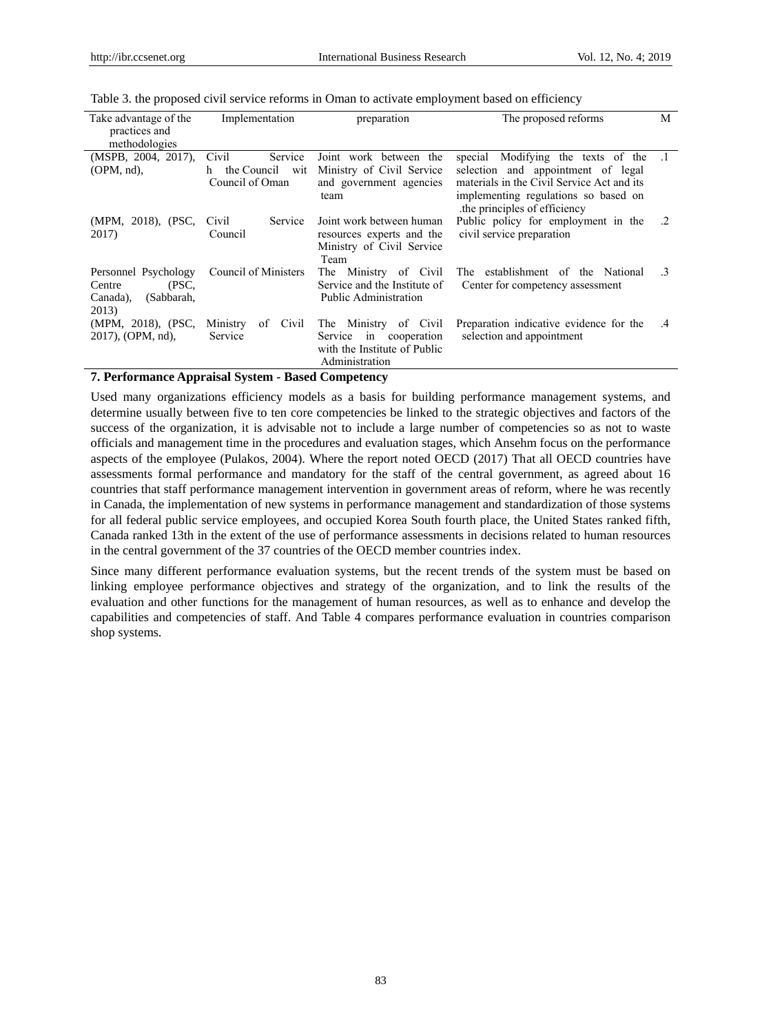| Take advantage of the<br>practices and<br>methodologies                    | Implementation                                              | preparation                                                                                                        | The proposed reforms                                                                                                                                                                                  | M  |
|----------------------------------------------------------------------------|-------------------------------------------------------------|--------------------------------------------------------------------------------------------------------------------|-------------------------------------------------------------------------------------------------------------------------------------------------------------------------------------------------------|----|
| (MSPB, 2004, 2017).<br>$OPM$ , nd),                                        | Civil<br>Service<br>the Council wit<br>h<br>Council of Oman | Joint work between the<br>Ministry of Civil Service<br>and government agencies<br>team                             | Modifying the texts of the .1<br>special<br>selection and appointment of legal<br>materials in the Civil Service Act and its<br>implementing regulations so based on<br>the principles of efficiency. |    |
| (MPM, 2018), (PSC,<br>2017)                                                | Service<br>Civil<br>Council                                 | Joint work between human<br>resources experts and the<br>Ministry of Civil Service<br>Team                         | Public policy for employment in the<br>civil service preparation                                                                                                                                      | .2 |
| Personnel Psychology<br>(PSC,<br>Centre<br>(Sabbarah,<br>Canada),<br>2013) | Council of Ministers                                        | Ministry of Civil<br><b>The</b><br>Service and the Institute of<br>Public Administration                           | The establishment of the National<br>Center for competency assessment                                                                                                                                 | .3 |
| (MPM, 2018), (PSC,<br>2017), (OPM, nd),                                    | of<br>Civil<br>Ministry<br>Service                          | Ministry<br>of<br>Civil<br>The T<br>in<br>Service<br>cooperation<br>with the Institute of Public<br>Administration | Preparation indicative evidence for the<br>selection and appointment                                                                                                                                  | .4 |

# Table 3. the proposed civil service reforms in Oman to activate employment based on efficiency

#### **7. Performance Appraisal System - Based Competency**

Used many organizations efficiency models as a basis for building performance management systems, and determine usually between five to ten core competencies be linked to the strategic objectives and factors of the success of the organization, it is advisable not to include a large number of competencies so as not to waste officials and management time in the procedures and evaluation stages, which Ansehm focus on the performance aspects of the employee (Pulakos, 2004). Where the report noted OECD (2017) That all OECD countries have assessments formal performance and mandatory for the staff of the central government, as agreed about 16 countries that staff performance management intervention in government areas of reform, where he was recently in Canada, the implementation of new systems in performance management and standardization of those systems for all federal public service employees, and occupied Korea South fourth place, the United States ranked fifth, Canada ranked 13th in the extent of the use of performance assessments in decisions related to human resources in the central government of the 37 countries of the OECD member countries index.

Since many different performance evaluation systems, but the recent trends of the system must be based on linking employee performance objectives and strategy of the organization, and to link the results of the evaluation and other functions for the management of human resources, as well as to enhance and develop the capabilities and competencies of staff. And Table 4 compares performance evaluation in countries comparison shop systems.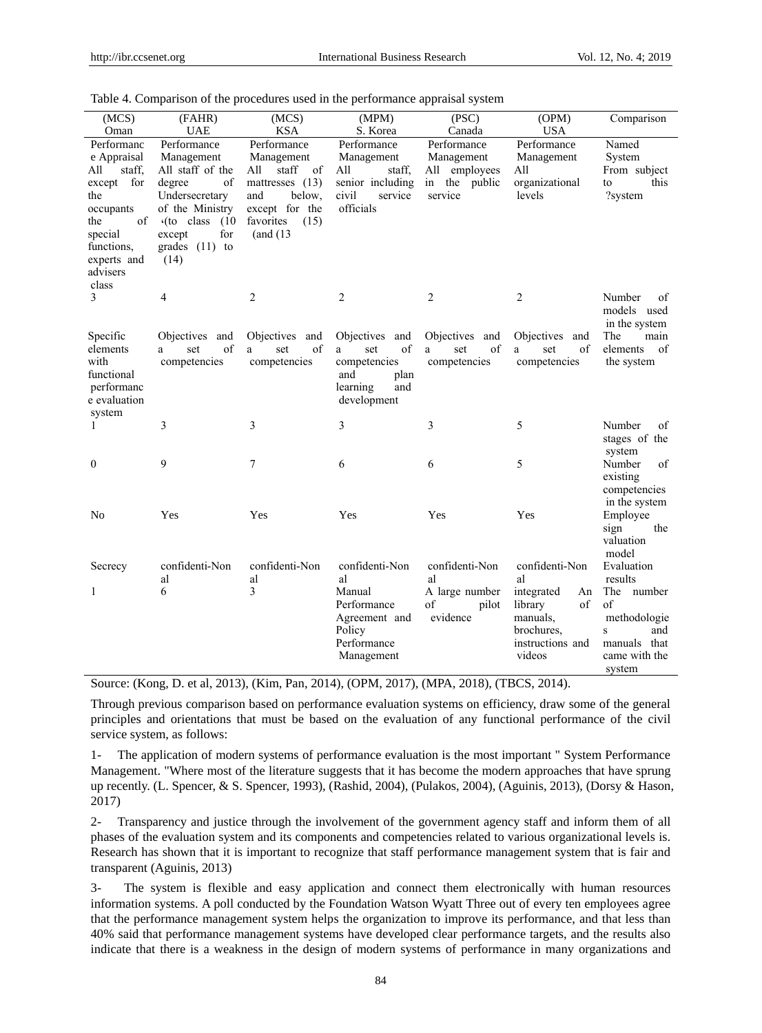| (MCS)                                                                                                                                                  | (FAHR)                                                                                                                                                                       | (MCS)                                                                                                                                     | (MPM)<br>(PSC)                                                                                        |                                                                        | (OPM)                                                                                                             | Comparison                                                                                                       |
|--------------------------------------------------------------------------------------------------------------------------------------------------------|------------------------------------------------------------------------------------------------------------------------------------------------------------------------------|-------------------------------------------------------------------------------------------------------------------------------------------|-------------------------------------------------------------------------------------------------------|------------------------------------------------------------------------|-------------------------------------------------------------------------------------------------------------------|------------------------------------------------------------------------------------------------------------------|
| Oman                                                                                                                                                   | <b>UAE</b>                                                                                                                                                                   | KSA                                                                                                                                       | S. Korea                                                                                              | Canada                                                                 | <b>USA</b>                                                                                                        |                                                                                                                  |
| Performanc<br>e Appraisal<br>staff,<br>All<br>except for<br>the<br>occupants<br>of<br>the<br>special<br>functions,<br>experts and<br>advisers<br>class | Performance<br>Management<br>All staff of the<br>degree<br>οf<br>Undersecretary<br>of the Ministry<br>$\cdot$ (to class<br>(10)<br>for<br>except<br>grades $(11)$ to<br>(14) | Performance<br>Management<br>staff<br>All<br>of<br>mattresses $(13)$<br>below,<br>and<br>except for the<br>favorites<br>(15)<br>(and (13) | Performance<br>Management<br>All<br>staff,<br>senior including<br>civil<br>service<br>officials       | Performance<br>Management<br>All employees<br>in the public<br>service | Performance<br>Management<br>All<br>organizational<br>levels                                                      | Named<br>System<br>From subject<br>this<br>to<br>?system                                                         |
| 3                                                                                                                                                      | 4                                                                                                                                                                            | $\overline{2}$                                                                                                                            | $\overline{2}$                                                                                        | $\overline{2}$                                                         | 2                                                                                                                 | Number<br>οť<br>models used<br>in the system                                                                     |
| Specific<br>elements<br>with<br>functional<br>performanc<br>e evaluation<br>system                                                                     | Objectives and<br>of<br>set<br>a<br>competencies                                                                                                                             | Objectives and<br>of<br>set<br>a<br>competencies                                                                                          | Objectives and<br>of<br>set<br>a<br>competencies<br>and<br>plan<br>learning<br>and<br>development     | Objectives and<br>of<br>set<br>a<br>competencies                       | Objectives and<br>of<br>set<br>a<br>competencies                                                                  | The<br>main<br>elements<br>of<br>the system                                                                      |
| 1                                                                                                                                                      | 3                                                                                                                                                                            | 3                                                                                                                                         | 3                                                                                                     | 3                                                                      | 5                                                                                                                 | Number<br>οf<br>stages of the<br>system                                                                          |
| $\mathbf{0}$                                                                                                                                           | 9                                                                                                                                                                            | 7                                                                                                                                         | 6                                                                                                     | 6                                                                      | 5                                                                                                                 | Number<br>οf<br>existing<br>competencies<br>in the system                                                        |
| No                                                                                                                                                     | Yes                                                                                                                                                                          | Yes                                                                                                                                       | Yes                                                                                                   | Yes                                                                    | Yes                                                                                                               | Employee<br>sign<br>the<br>valuation<br>model                                                                    |
| Secrecy<br>1                                                                                                                                           | confidenti-Non<br>al<br>6                                                                                                                                                    | confidenti-Non<br>al<br>3                                                                                                                 | confidenti-Non<br>al<br>Manual<br>Performance<br>Agreement and<br>Policy<br>Performance<br>Management | confidenti-Non<br>al<br>A large number<br>of<br>pilot<br>evidence      | confidenti-Non<br>al<br>integrated<br>An<br>of<br>library<br>manuals,<br>brochures,<br>instructions and<br>videos | Evaluation<br>results<br>The number<br>of<br>methodologie<br>and<br>S<br>manuals that<br>came with the<br>system |

|  |  |  | Table 4. Comparison of the procedures used in the performance appraisal system |  |
|--|--|--|--------------------------------------------------------------------------------|--|
|  |  |  |                                                                                |  |

Source: (Kong, D. et al, 2013), (Kim, Pan, 2014), (OPM, 2017), (MPA, 2018), (TBCS, 2014).

Through previous comparison based on performance evaluation systems on efficiency, draw some of the general principles and orientations that must be based on the evaluation of any functional performance of the civil service system, as follows:

1- The application of modern systems of performance evaluation is the most important " System Performance Management. "Where most of the literature suggests that it has become the modern approaches that have sprung up recently. (L. Spencer, & S. Spencer, 1993), (Rashid, 2004), (Pulakos, 2004), (Aguinis, 2013), (Dorsy & Hason, 2017)

2- Transparency and justice through the involvement of the government agency staff and inform them of all phases of the evaluation system and its components and competencies related to various organizational levels is. Research has shown that it is important to recognize that staff performance management system that is fair and transparent (Aguinis, 2013)

3- The system is flexible and easy application and connect them electronically with human resources information systems. A poll conducted by the Foundation Watson Wyatt Three out of every ten employees agree that the performance management system helps the organization to improve its performance, and that less than 40% said that performance management systems have developed clear performance targets, and the results also indicate that there is a weakness in the design of modern systems of performance in many organizations and

84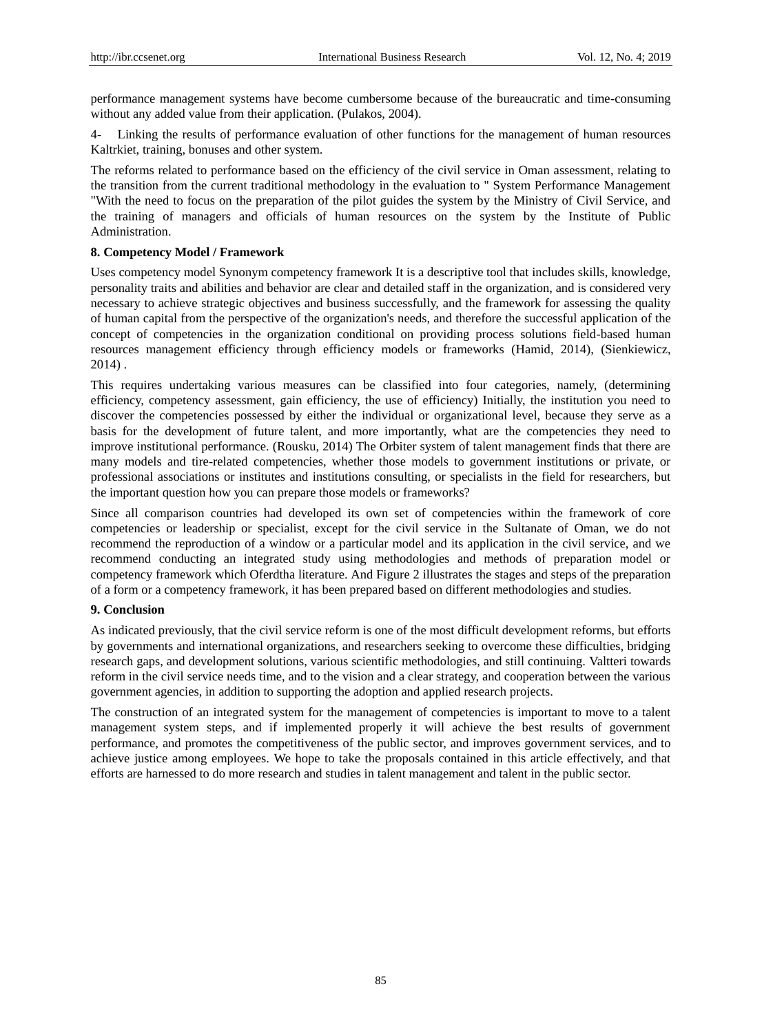performance management systems have become cumbersome because of the bureaucratic and time-consuming without any added value from their application. (Pulakos, 2004).

Linking the results of performance evaluation of other functions for the management of human resources Kaltrkiet, training, bonuses and other system.

The reforms related to performance based on the efficiency of the civil service in Oman assessment, relating to the transition from the current traditional methodology in the evaluation to " System Performance Management "With the need to focus on the preparation of the pilot guides the system by the Ministry of Civil Service, and the training of managers and officials of human resources on the system by the Institute of Public Administration.

# **8. Competency Model / Framework**

Uses competency model Synonym competency framework It is a descriptive tool that includes skills, knowledge, personality traits and abilities and behavior are clear and detailed staff in the organization, and is considered very necessary to achieve strategic objectives and business successfully, and the framework for assessing the quality of human capital from the perspective of the organization's needs, and therefore the successful application of the concept of competencies in the organization conditional on providing process solutions field-based human resources management efficiency through efficiency models or frameworks (Hamid, 2014), (Sienkiewicz, 2014) .

This requires undertaking various measures can be classified into four categories, namely, (determining efficiency, competency assessment, gain efficiency, the use of efficiency) Initially, the institution you need to discover the competencies possessed by either the individual or organizational level, because they serve as a basis for the development of future talent, and more importantly, what are the competencies they need to improve institutional performance. (Rousku, 2014) The Orbiter system of talent management finds that there are many models and tire-related competencies, whether those models to government institutions or private, or professional associations or institutes and institutions consulting, or specialists in the field for researchers, but the important question how you can prepare those models or frameworks?

Since all comparison countries had developed its own set of competencies within the framework of core competencies or leadership or specialist, except for the civil service in the Sultanate of Oman, we do not recommend the reproduction of a window or a particular model and its application in the civil service, and we recommend conducting an integrated study using methodologies and methods of preparation model or competency framework which Oferdtha literature. And Figure 2 illustrates the stages and steps of the preparation of a form or a competency framework, it has been prepared based on different methodologies and studies.

# **9. Conclusion**

As indicated previously, that the civil service reform is one of the most difficult development reforms, but efforts by governments and international organizations, and researchers seeking to overcome these difficulties, bridging research gaps, and development solutions, various scientific methodologies, and still continuing. Valtteri towards reform in the civil service needs time, and to the vision and a clear strategy, and cooperation between the various government agencies, in addition to supporting the adoption and applied research projects.

The construction of an integrated system for the management of competencies is important to move to a talent management system steps, and if implemented properly it will achieve the best results of government performance, and promotes the competitiveness of the public sector, and improves government services, and to achieve justice among employees. We hope to take the proposals contained in this article effectively, and that efforts are harnessed to do more research and studies in talent management and talent in the public sector.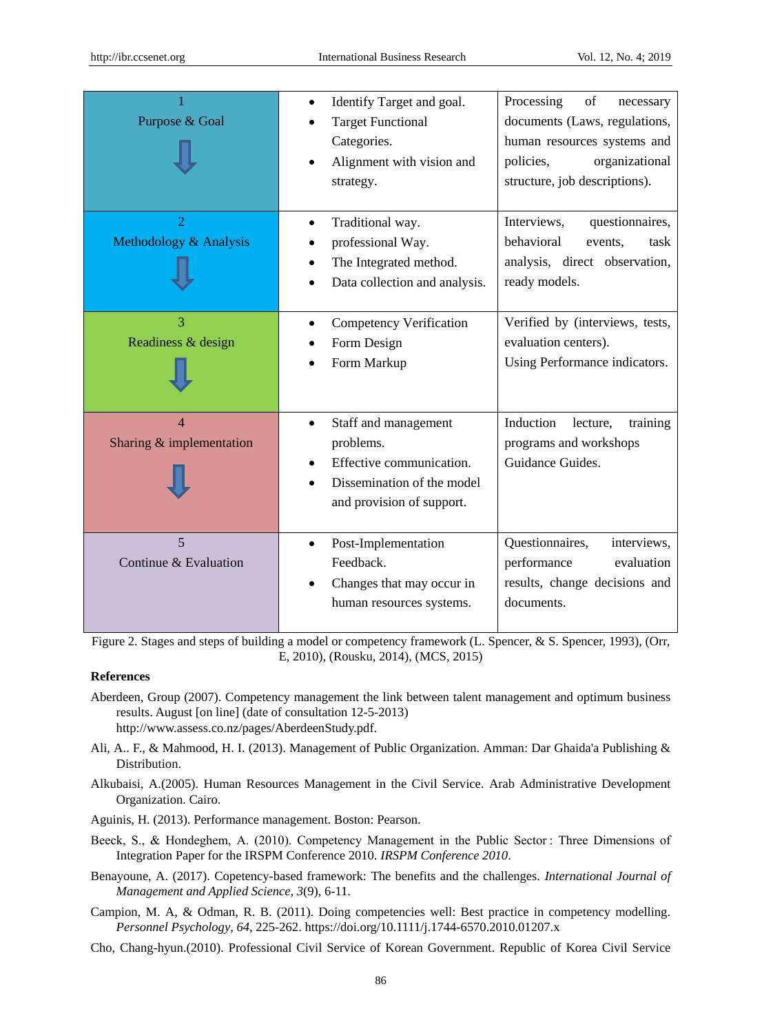| Purpose & Goal                               | Identify Target and goal.<br>$\bullet$<br><b>Target Functional</b><br>Categories.<br>Alignment with vision and<br>strategy.           | Processing<br>of<br>necessary<br>documents (Laws, regulations,<br>human resources systems and<br>organizational<br>policies,<br>structure, job descriptions). |
|----------------------------------------------|---------------------------------------------------------------------------------------------------------------------------------------|---------------------------------------------------------------------------------------------------------------------------------------------------------------|
| $\overline{2}$<br>Methodology & Analysis     | Traditional way.<br>$\bullet$<br>professional Way.<br>The Integrated method.<br>Data collection and analysis.                         | Interviews,<br>questionnaires,<br>behavioral<br>events,<br>task<br>analysis, direct observation,<br>ready models.                                             |
| $\overline{3}$<br>Readiness & design         | <b>Competency Verification</b><br>Form Design<br>Form Markup                                                                          | Verified by (interviews, tests,<br>evaluation centers).<br>Using Performance indicators.                                                                      |
| $\overline{4}$<br>Sharing $&$ implementation | Staff and management<br>$\bullet$<br>problems.<br>Effective communication.<br>Dissemination of the model<br>and provision of support. | Induction<br>lecture,<br>training<br>programs and workshops<br>Guidance Guides.                                                                               |
| 5<br>Continue & Evaluation                   | Post-Implementation<br>Feedback.<br>Changes that may occur in<br>human resources systems.                                             | Questionnaires,<br>interviews,<br>performance<br>evaluation<br>results, change decisions and<br>documents.                                                    |

Figure 2. Stages and steps of building a model or competency framework (L. Spencer, & S. Spencer, 1993), (Orr, E, 2010), (Rousku, 2014), (MCS, 2015)

# **References**

- Aberdeen, Group (2007). Competency management the link between talent management and optimum business results. August [on line] (date of consultation 12-5-2013) http://www.assess.co.nz/pages/AberdeenStudy.pdf.
- Ali, A.. F., & Mahmood, H. I. (2013). Management of Public Organization. Amman: Dar Ghaida'a Publishing & Distribution.
- Alkubaisi, A.(2005). Human Resources Management in the Civil Service. Arab Administrative Development Organization. Cairo.
- Aguinis, H. (2013). Performance management. Boston: Pearson.
- Beeck, S., & Hondeghem, A. (2010). Competency Management in the Public Sector : Three Dimensions of Integration Paper for the IRSPM Conference 2010. *IRSPM Conference 2010*.
- Benayoune, A. (2017). Copetency-based framework: The benefits and the challenges. *International Journal of Management and Applied Science, 3*(9), 6-11.
- Campion, M. A, & Odman, R. B. (2011). Doing competencies well: Best practice in competency modelling. *Personnel Psychology*, *64*, 225-262. https://doi.org/10.1111/j.1744-6570.2010.01207.x
- Cho, Chang-hyun.(2010). Professional Civil Service of Korean Government. Republic of Korea Civil Service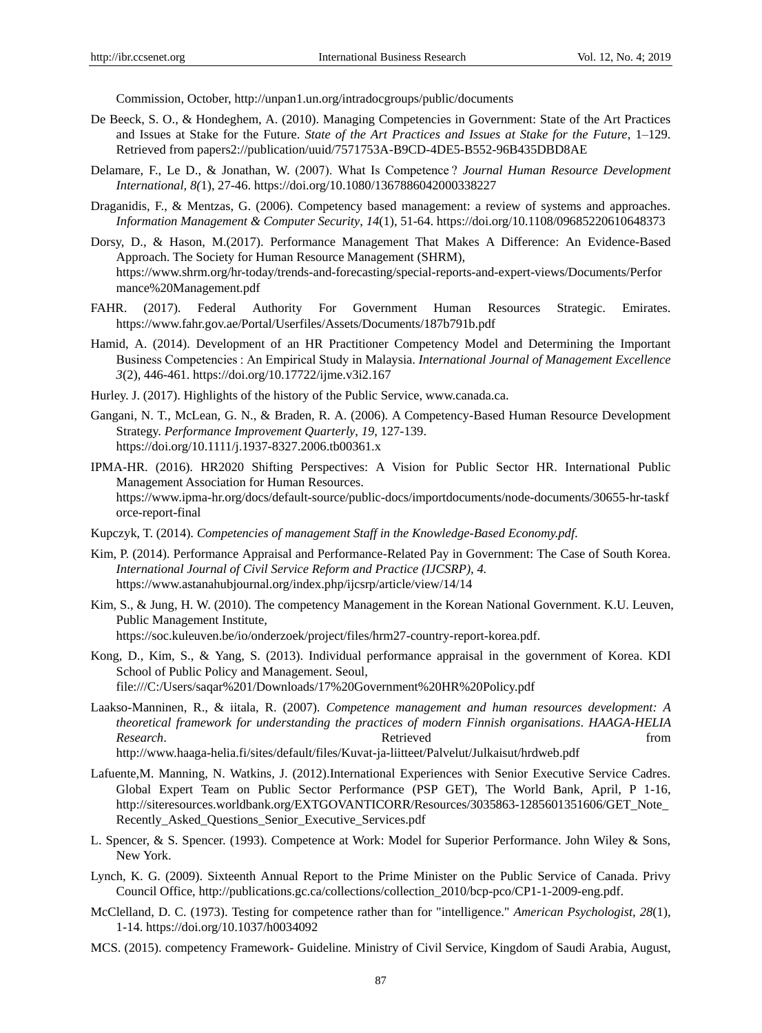Commission, October, http://unpan1.un.org/intradocgroups/public/documents

- De Beeck, S. O., & Hondeghem, A. (2010). Managing Competencies in Government: State of the Art Practices and Issues at Stake for the Future. *State of the Art Practices and Issues at Stake for the Future*, 1–129. Retrieved from papers2://publication/uuid/7571753A-B9CD-4DE5-B552-96B435DBD8AE
- Delamare, F., Le D., & Jonathan, W. (2007). What Is Competence ? *Journal Human Resource Development International, 8(*1), 27-46. https://doi.org/10.1080/1367886042000338227
- Draganidis, F., & Mentzas, G. (2006). Competency based management: a review of systems and approaches. *Information Management & Computer Security*, *14*(1), 51-64. https://doi.org/10.1108/09685220610648373
- Dorsy, D., & Hason, M.(2017). Performance Management That Makes A Difference: An Evidence-Based Approach. The Society for Human Resource Management (SHRM), https://www.shrm.org/hr-today/trends-and-forecasting/special-reports-and-expert-views/Documents/Perfor mance%20Management.pdf
- FAHR. (2017). Federal Authority For Government Human Resources Strategic. Emirates. https://www.fahr.gov.ae/Portal/Userfiles/Assets/Documents/187b791b.pdf
- Hamid, A. (2014). Development of an HR Practitioner Competency Model and Determining the Important Business Competencies : An Empirical Study in Malaysia. *International Journal of Management Excellence 3*(2), 446-461. https://doi.org/10.17722/ijme.v3i2.167
- Hurley. J. (2017). Highlights of the history of the Public Service, www.canada.ca.
- Gangani, N. T., McLean, G. N., & Braden, R. A. (2006). A Competency-Based Human Resource Development Strategy. *Performance Improvement Quarterly*, *19*, 127-139. https://doi.org/10.1111/j.1937-8327.2006.tb00361.x
- IPMA-HR. (2016). HR2020 Shifting Perspectives: A Vision for Public Sector HR. International Public Management Association for Human Resources. https://www.ipma-hr.org/docs/default-source/public-docs/importdocuments/node-documents/30655-hr-taskf orce-report-final
- Kupczyk, T. (2014). *Competencies of management Staff in the Knowledge-Based Economy.pdf*.
- Kim, P. (2014). Performance Appraisal and Performance-Related Pay in Government: The Case of South Korea. *International Journal of Civil Service Reform and Practice (IJCSRP), 4.* https://www.astanahubjournal.org/index.php/ijcsrp/article/view/14/14
- Kim, S., & Jung, H. W. (2010). The competency Management in the Korean National Government. K.U. Leuven, Public Management Institute, https://soc.kuleuven.be/io/onderzoek/project/files/hrm27-country-report-korea.pdf.
- Kong, D., Kim, S., & Yang, S. (2013). Individual performance appraisal in the government of Korea. KDI School of Public Policy and Management. Seoul,

file:///C:/Users/saqar%201/Downloads/17%20Government%20HR%20Policy.pdf

Laakso-Manninen, R., & iitala, R. (2007). *Competence management and human resources development: A theoretical framework for understanding the practices of modern Finnish organisations*. *HAAGA-HELIA Research***.** The contract of the contract  $\mathbb{R}$  Retrieved from  $\mathbb{R}$  and  $\mathbb{R}$  from  $\mathbb{R}$  and  $\mathbb{R}$  from  $\mathbb{R}$  and  $\mathbb{R}$  and  $\mathbb{R}$  from  $\mathbb{R}$  and  $\mathbb{R}$  and  $\mathbb{R}$  and  $\mathbb{R}$  and  $\mathbb{R}$  http://www.haaga-helia.fi/sites/default/files/Kuvat-ja-liitteet/Palvelut/Julkaisut/hrdweb.pdf

- Lafuente,M. Manning, N. Watkins, J. (2012).International Experiences with Senior Executive Service Cadres. Global Expert Team on Public Sector Performance (PSP GET), The World Bank, April, P 1-16, http://siteresources.worldbank.org/EXTGOVANTICORR/Resources/3035863-1285601351606/GET\_Note\_ Recently\_Asked\_Questions\_Senior\_Executive\_Services.pdf
- L. Spencer, & S. Spencer. (1993). Competence at Work: Model for Superior Performance. John Wiley & Sons, New York.
- Lynch, K. G. (2009). Sixteenth Annual Report to the Prime Minister on the Public Service of Canada. Privy Council Office, http://publications.gc.ca/collections/collection\_2010/bcp-pco/CP1-1-2009-eng.pdf.
- McClelland, D. C. (1973). Testing for competence rather than for "intelligence." *American Psychologist, 28*(1), 1-14. https://doi.org/10.1037/h0034092
- MCS. (2015). competency Framework- Guideline. Ministry of Civil Service, Kingdom of Saudi Arabia, August,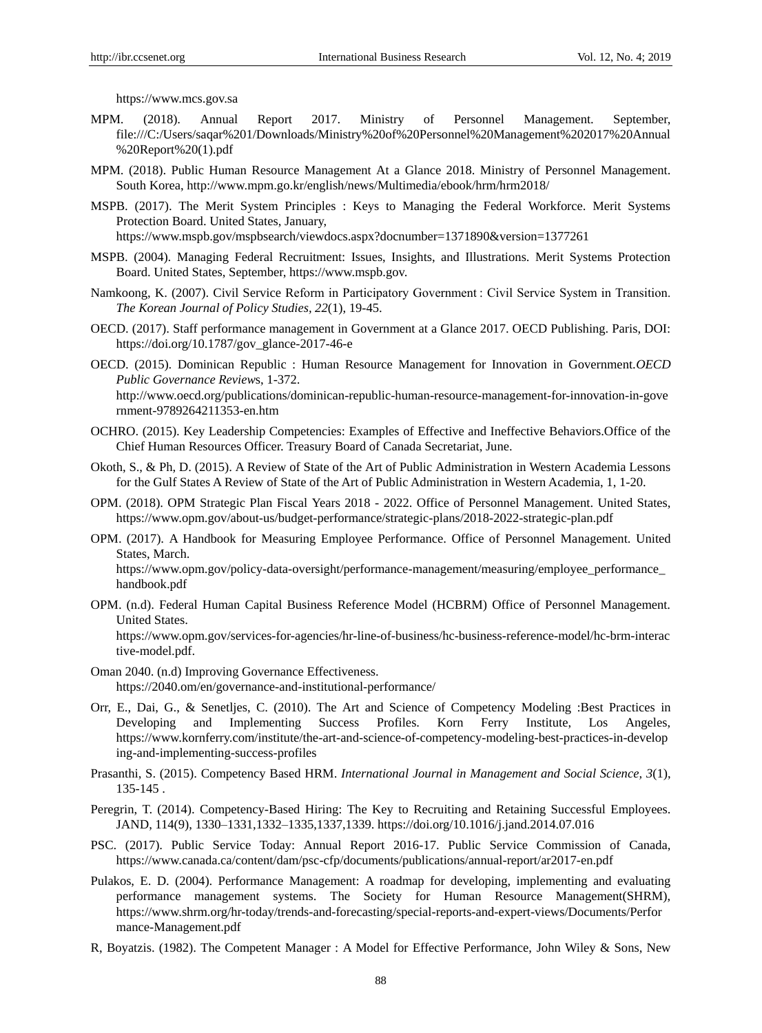https://www.mcs.gov.sa

- MPM. (2018). Annual Report 2017. Ministry of Personnel Management. September, file:///C:/Users/saqar%201/Downloads/Ministry%20of%20Personnel%20Management%202017%20Annual %20Report%20(1).pdf
- MPM. (2018). Public Human Resource Management At a Glance 2018. Ministry of Personnel Management. South Korea, http://www.mpm.go.kr/english/news/Multimedia/ebook/hrm/hrm2018/
- MSPB. (2017). The Merit System Principles : Keys to Managing the Federal Workforce. Merit Systems Protection Board. United States, January,

https://www.mspb.gov/mspbsearch/viewdocs.aspx?docnumber=1371890&version=1377261

- MSPB. (2004). Managing Federal Recruitment: Issues, Insights, and Illustrations. Merit Systems Protection Board. United States, September, https://www.mspb.gov.
- Namkoong, K. (2007). Civil Service Reform in Participatory Government : Civil Service System in Transition. *The Korean Journal of Policy Studies, 22*(1), 19-45.
- OECD. (2017). Staff performance management in Government at a Glance 2017. OECD Publishing. Paris, DOI: https://doi.org/10.1787/gov\_glance-2017-46-e
- OECD. (2015). Dominican Republic : Human Resource Management for Innovation in Government.*OECD Public Governance Review*s, 1-372. http://www.oecd.org/publications/dominican-republic-human-resource-management-for-innovation-in-gove

rnment-9789264211353-en.htm

- OCHRO. (2015). Key Leadership Competencies: Examples of Effective and Ineffective Behaviors.Office of the Chief Human Resources Officer. Treasury Board of Canada Secretariat, June.
- Okoth, S., & Ph, D. (2015). A Review of State of the Art of Public Administration in Western Academia Lessons for the Gulf States A Review of State of the Art of Public Administration in Western Academia, 1, 1-20.
- OPM. (2018). OPM Strategic Plan Fiscal Years 2018 2022. Office of Personnel Management. United States, https://www.opm.gov/about-us/budget-performance/strategic-plans/2018-2022-strategic-plan.pdf
- OPM. (2017). A Handbook for Measuring Employee Performance. Office of Personnel Management. United States, March.

https://www.opm.gov/policy-data-oversight/performance-management/measuring/employee\_performance\_ handbook.pdf

OPM. (n.d). Federal Human Capital Business Reference Model (HCBRM) Office of Personnel Management. United States. https://www.opm.gov/services-for-agencies/hr-line-of-business/hc-business-reference-model/hc-brm-interac

tive-model.pdf.

- Oman 2040. (n.d) Improving Governance Effectiveness. https://2040.om/en/governance-and-institutional-performance/
- Orr, E., Dai, G., & Senetljes, C. (2010). The Art and Science of Competency Modeling :Best Practices in Developing and Implementing Success Profiles. Korn Ferry Institute, Los Angeles, https://www.kornferry.com/institute/the-art-and-science-of-competency-modeling-best-practices-in-develop ing-and-implementing-success-profiles
- Prasanthi, S. (2015). Competency Based HRM. *International Journal in Management and Social Science, 3*(1), 135-145 .
- Peregrin, T. (2014). Competency-Based Hiring: The Key to Recruiting and Retaining Successful Employees. JAND, 114(9), 1330–1331,1332–1335,1337,1339. https://doi.org/10.1016/j.jand.2014.07.016
- PSC. (2017). Public Service Today: Annual Report 2016-17. Public Service Commission of Canada, https://www.canada.ca/content/dam/psc-cfp/documents/publications/annual-report/ar2017-en.pdf
- Pulakos, E. D. (2004). Performance Management: A roadmap for developing, implementing and evaluating performance management systems. The Society for Human Resource Management(SHRM), https://www.shrm.org/hr-today/trends-and-forecasting/special-reports-and-expert-views/Documents/Perfor mance-Management.pdf
- R, Boyatzis. (1982). The Competent Manager : A Model for Effective Performance, John Wiley & Sons, New